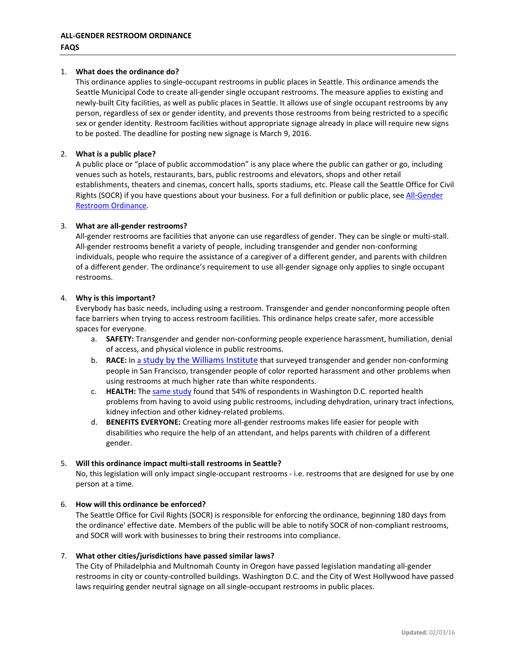### 1. **What does the ordinance do?**

This ordinance applies to single-occupant restrooms in public places in Seattle. This ordinance amends the Seattle Municipal Code to create all-gender single occupant restrooms. The measure applies to existing and newly-built City facilities, as well as public places in Seattle. It allows use of single occupant restrooms by any person, regardless of sex or gender identity, and prevents those restrooms from being restricted to a specific sex or gender identity. Restroom facilities without appropriate signage already in place will require new signs to be posted. The deadline for posting new signage is March 9, 2016.

## 2. **What is a public place?**

A public place or "place of public accommodation" is any place where the public can gather or go, including venues such as hotels, restaurants, bars, public restrooms and elevators, shops and other retail establishments, theaters and cinemas, concert halls, sports stadiums, etc. Please call the Seattle Office for Civil Rights (SOCR) if you have questions about your business. For a full definition or public place, see All-Gender [Restroom Ordinance.](http://clerk.seattle.gov/%7Escripts/nph-brs.exe?s3=&s4=&s5=all+gender+restroom&s1=&s2=&S6=&Sect4=AND&l=0&Sect2=THESON&Sect3=PLURON&Sect5=CBORY&Sect6=HITOFF&d=ORDF&p=1&u=%2F%7Epublic%2Fcbor1.htm&r=1&f=G)

## 3. **What are all-gender restrooms?**

All-gender restrooms are facilities that anyone can use regardless of gender. They can be single or multi-stall. All-gender restrooms benefit a variety of people, including transgender and gender non-conforming individuals, people who require the assistance of a caregiver of a different gender, and parents with children of a different gender. The ordinance's requirement to use all-gender signage only applies to single occupant restrooms.

#### 4. **Why is this important?**

Everybody has basic needs, including using a restroom. Transgender and gender nonconforming people often face barriers when trying to access restroom facilities. This ordinance helps create safer, more accessible spaces for everyone.

- a. **SAFETY:** Transgender and gender non-conforming people experience harassment, humiliation, denial of access, and physical violence in public restrooms.
- b. **RACE:** In [a study by the Williams Institute](http://williamsinstitute.law.ucla.edu/wp-content/uploads/Herman-Gendered-Restrooms-and-Minority-Stress-June-2013.pdf) that surveyed transgender and gender non-conforming people in San Francisco, transgender people of color reported harassment and other problems when using restrooms at much higher rate than white respondents.
- c. **HEALTH:** The [same study](http://williamsinstitute.law.ucla.edu/wp-content/uploads/Herman-Gendered-Restrooms-and-Minority-Stress-June-2013.pdf) found that 54% of respondents in Washington D.C. reported health problems from having to avoid using public restrooms, including dehydration, urinary tract infections, kidney infection and other kidney-related problems.
- d. **BENEFITS EVERYONE:** Creating more all-gender restrooms makes life easier for people with disabilities who require the help of an attendant, and helps parents with children of a different gender.

#### 5. **Will this ordinance impact multi-stall restrooms in Seattle?**

No, this legislation will only impact single-occupant restrooms - i.e. restrooms that are designed for use by one person at a time.

# 6. **How will this ordinance be enforced?**

The Seattle Office for Civil Rights (SOCR) is responsible for enforcing the ordinance, beginning 180 days from the ordinance' effective date. Members of the public will be able to notify SOCR of non-compliant restrooms, and SOCR will work with businesses to bring their restrooms into compliance.

#### 7. **What other cities/jurisdictions have passed similar laws?**

The City of Philadelphia and Multnomah County in Oregon have passed legislation mandating all-gender restrooms in city or county-controlled buildings. Washington D.C. and the City of West Hollywood have passed laws requiring gender neutral signage on all single-occupant restrooms in public places.